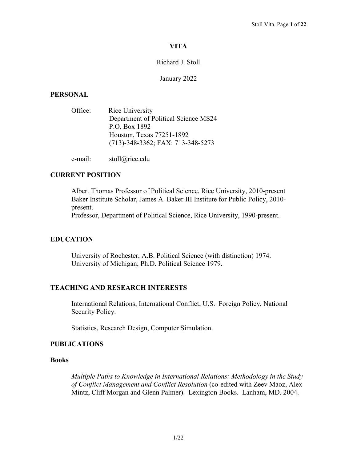# **VITA**

# Richard J. Stoll

## January 2022

# **PERSONAL**

| Office: | Rice University                      |
|---------|--------------------------------------|
|         | Department of Political Science MS24 |
|         | P.O. Box 1892                        |
|         | Houston, Texas 77251-1892            |
|         | $(713)$ -348-3362; FAX: 713-348-5273 |
|         |                                      |

e-mail: stoll@rice.edu

# **CURRENT POSITION**

Albert Thomas Professor of Political Science, Rice University, 2010-present Baker Institute Scholar, James A. Baker III Institute for Public Policy, 2010 present.

Professor, Department of Political Science, Rice University, 1990-present.

# **EDUCATION**

University of Rochester, A.B. Political Science (with distinction) 1974. University of Michigan, Ph.D. Political Science 1979.

## **TEACHING AND RESEARCH INTERESTS**

International Relations, International Conflict, U.S. Foreign Policy, National Security Policy.

Statistics, Research Design, Computer Simulation.

## **PUBLICATIONS**

# **Books**

*Multiple Paths to Knowledge in International Relations: Methodology in the Study of Conflict Management and Conflict Resolution* (co-edited with Zeev Maoz, Alex Mintz, Cliff Morgan and Glenn Palmer). Lexington Books. Lanham, MD. 2004.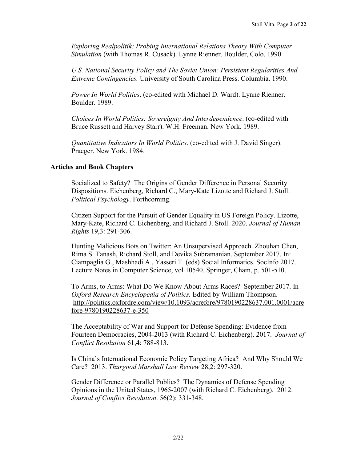*Exploring Realpolitik: Probing International Relations Theory With Computer Simulation* (with Thomas R. Cusack). Lynne Rienner. Boulder, Colo. 1990.

*U.S. National Security Policy and The Soviet Union: Persistent Regularities And Extreme Contingencies.* University of South Carolina Press. Columbia. 1990.

*Power In World Politics*. (co-edited with Michael D. Ward). Lynne Rienner. Boulder. 1989.

*Choices In World Politics: Sovereignty And Interdependence*. (co-edited with Bruce Russett and Harvey Starr). W.H. Freeman. New York. 1989.

*Quantitative Indicators In World Politics*. (co-edited with J. David Singer). Praeger. New York. 1984.

## **Articles and Book Chapters**

Socialized to Safety? The Origins of Gender Difference in Personal Security Dispositions. Eichenberg, Richard C., Mary-Kate Lizotte and Richard J. Stoll. *Political Psychology*. Forthcoming.

Citizen Support for the Pursuit of Gender Equality in US Foreign Policy. Lizotte, Mary-Kate, Richard C. Eichenberg, and Richard J. Stoll. 2020. *Journal of Human Rights* 19,3: 291-306.

Hunting Malicious Bots on Twitter: An Unsupervised Approach. Zhouhan Chen, Rima S. Tanash, Richard Stoll, and Devika Subramanian. September 2017. In: Ciampaglia G., Mashhadi A., Yasseri T. (eds) Social Informatics. SocInfo 2017. Lecture Notes in Computer Science, vol 10540. Springer, Cham, p. 501-510.

To Arms, to Arms: What Do We Know About Arms Races? September 2017. In *Oxford Research Encyclopedia of Politics.* Edited by William Thompson. [http://politics.oxfordre.com/view/10.1093/acrefore/9780190228637.001.0001/acre](http://politics.oxfordre.com/view/10.1093/acrefore/9780190228637.001.0001/acrefore-9780190228637-e-350) [fore-9780190228637-e-350](http://politics.oxfordre.com/view/10.1093/acrefore/9780190228637.001.0001/acrefore-9780190228637-e-350)

The Acceptability of War and Support for Defense Spending: Evidence from Fourteen Democracies, 2004-2013 (with Richard C. Eichenberg). 2017. *Journal of Conflict Resolution* 61,4: 788-813.

Is China's International Economic Policy Targeting Africa? And Why Should We Care? 2013. *Thurgood Marshall Law Review* 28,2: 297-320.

Gender Difference or Parallel Publics? The Dynamics of Defense Spending Opinions in the United States, 1965-2007 (with Richard C. Eichenberg). 2012. *Journal of Conflict Resolution*. 56(2): 331-348.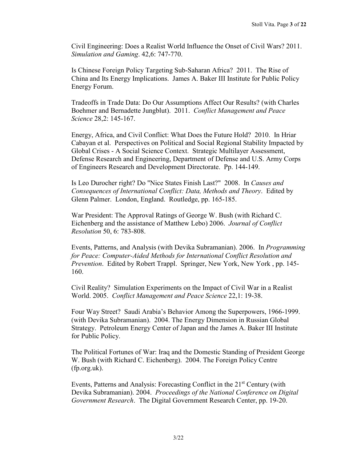Civil Engineering: Does a Realist World Influence the Onset of Civil Wars? 2011. *Simulation and Gaming*. 42,6: 747-770.

Is Chinese Foreign Policy Targeting Sub-Saharan Africa? 2011. The Rise of China and Its Energy Implications. James A. Baker III Institute for Public Policy Energy Forum.

Tradeoffs in Trade Data: Do Our Assumptions Affect Our Results? (with Charles Boehmer and Bernadette Jungblut). 2011. *Conflict Management and Peace Science* 28,2: 145-167.

Energy, Africa, and Civil Conflict: What Does the Future Hold? 2010. In Hriar Cabayan et al. Perspectives on Political and Social Regional Stability Impacted by Global Crises - A Social Science Context. Strategic Multilayer Assessment, Defense Research and Engineering, Department of Defense and U.S. Army Corps of Engineers Research and Development Directorate. Pp. 144-149.

Is Leo Durocher right? Do "Nice States Finish Last?" 2008. In *Causes and Consequences of International Conflict: Data, Methods and Theory*. Edited by Glenn Palmer. London, England. Routledge, pp. 165-185.

War President: The Approval Ratings of George W. Bush (with Richard C. Eichenberg and the assistance of Matthew Lebo) 2006. *Journal of Conflict Resolution* 50, 6: 783-808.

Events, Patterns, and Analysis (with Devika Subramanian). 2006. In *Programming for Peace: Computer-Aided Methods for International Conflict Resolution and Prevention*. Edited by Robert Trappl. Springer, New York, New York , pp. 145- 160.

Civil Reality? Simulation Experiments on the Impact of Civil War in a Realist World. 2005. *Conflict Management and Peace Science* 22,1: 19-38.

Four Way Street? Saudi Arabia's Behavior Among the Superpowers, 1966-1999. (with Devika Subramanian). 2004. The Energy Dimension in Russian Global Strategy. Petroleum Energy Center of Japan and the James A. Baker III Institute for Public Policy.

The Political Fortunes of War: Iraq and the Domestic Standing of President George W. Bush (with Richard C. Eichenberg). 2004. The Foreign Policy Centre (fp.org.uk).

Events, Patterns and Analysis: Forecasting Conflict in the 21<sup>st</sup> Century (with Devika Subramanian). 2004. *Proceedings of the National Conference on Digital Government Research*. The Digital Government Research Center, pp. 19-20.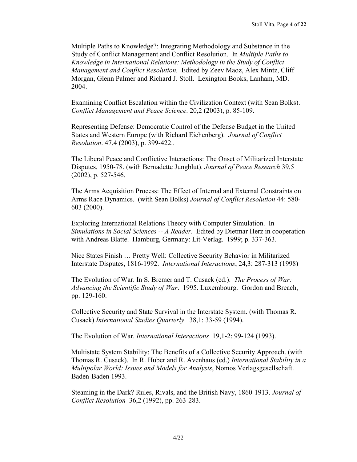Multiple Paths to Knowledge?: Integrating Methodology and Substance in the Study of Conflict Management and Conflict Resolution. In *Multiple Paths to Knowledge in International Relations: Methodology in the Study of Conflict Management and Conflict Resolution.* Edited by Zeev Maoz, Alex Mintz, Cliff Morgan, Glenn Palmer and Richard J. Stoll. Lexington Books, Lanham, MD. 2004.

Examining Conflict Escalation within the Civilization Context (with Sean Bolks). *Conflict Management and Peace Science*. 20,2 (2003), p. 85-109.

Representing Defense: Democratic Control of the Defense Budget in the United States and Western Europe (with Richard Eichenberg). *Journal of Conflict Resolution*. 47,4 (2003), p. 399-422..

The Liberal Peace and Conflictive Interactions: The Onset of Militarized Interstate Disputes, 1950-78. (with Bernadette Jungblut). *Journal of Peace Research* 39,5 (2002), p. 527-546.

The Arms Acquisition Process: The Effect of Internal and External Constraints on Arms Race Dynamics. (with Sean Bolks) *Journal of Conflict Resolution* 44: 580- 603 (2000).

Exploring International Relations Theory with Computer Simulation. In *Simulations in Social Sciences -- A Reader*. Edited by Dietmar Herz in cooperation with Andreas Blatte. Hamburg, Germany: Lit-Verlag. 1999; p. 337-363.

Nice States Finish … Pretty Well: Collective Security Behavior in Militarized Interstate Disputes, 1816-1992. *International Interactions*, 24,3: 287-313 (1998)

The Evolution of War. In S. Bremer and T. Cusack (ed.). *The Process of War: Advancing the Scientific Study of War*. 1995. Luxembourg. Gordon and Breach, pp. 129-160.

Collective Security and State Survival in the Interstate System. (with Thomas R. Cusack) *International Studies Quarterly* 38,1: 33-59 (1994).

The Evolution of War. *International Interactions* 19,1-2: 99-124 (1993).

Multistate System Stability: The Benefits of a Collective Security Approach. (with Thomas R. Cusack). In R. Huber and R. Avenhaus (ed.) *International Stability in a Multipolar World: Issues and Models for Analysis*, Nomos Verlagsgesellschaft. Baden-Baden 1993.

Steaming in the Dark? Rules, Rivals, and the British Navy, 1860-1913. *Journal of Conflict Resolution* 36,2 (1992), pp. 263-283.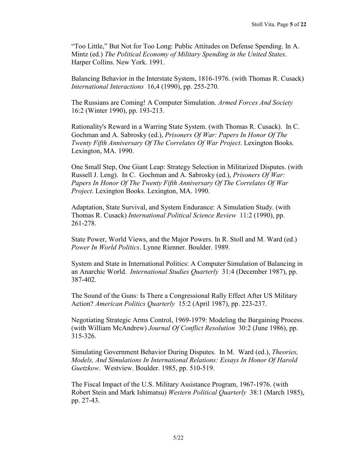"Too Little," But Not for Too Long: Public Attitudes on Defense Spending. In A. Mintz (ed.) *The Political Economy of Military Spending in the United States*. Harper Collins. New York. 1991.

Balancing Behavior in the Interstate System, 1816-1976. (with Thomas R. Cusack) *International Interactions* 16,4 (1990), pp. 255-270.

The Russians are Coming! A Computer Simulation. *Armed Forces And Society* 16:2 (Winter 1990), pp. 193-213.

Rationality's Reward in a Warring State System. (with Thomas R. Cusack). In C. Gochman and A. Sabrosky (ed.), *Prisoners Of War: Papers In Honor Of The Twenty Fifth Anniversary Of The Correlates Of War Project*. Lexington Books. Lexington, MA. 1990.

One Small Step, One Giant Leap: Strategy Selection in Militarized Disputes. (with Russell J. Leng). In C. Gochman and A. Sabrosky (ed.), *Prisoners Of War: Papers In Honor Of The Twenty Fifth Anniversary Of The Correlates Of War Project*. Lexington Books. Lexington, MA. 1990.

Adaptation, State Survival, and System Endurance: A Simulation Study. (with Thomas R. Cusack) *International Political Science Review* 11:2 (1990), pp. 261-278.

State Power, World Views, and the Major Powers. In R. Stoll and M. Ward (ed.) *Power In World Politics*. Lynne Rienner. Boulder. 1989.

System and State in International Politics: A Computer Simulation of Balancing in an Anarchic World. *International Studies Quarterly* 31:4 (December 1987), pp. 387-402.

The Sound of the Guns: Is There a Congressional Rally Effect After US Military Action? *American Politics Quarterly* 15:2 (April 1987), pp. 223-237.

Negotiating Strategic Arms Control, 1969-1979: Modeling the Bargaining Process. (with William McAndrew) *Journal Of Conflict Resolution* 30:2 (June 1986), pp. 315-326.

Simulating Government Behavior During Disputes. In M. Ward (ed.), *Theories, Models, And Simulations In International Relations: Essays In Honor Of Harold Guetzkow*. Westview. Boulder. 1985, pp. 510-519.

The Fiscal Impact of the U.S. Military Assistance Program, 1967-1976. (with Robert Stein and Mark Ishimatsu) *Western Political Quarterly* 38:1 (March 1985), pp. 27-43.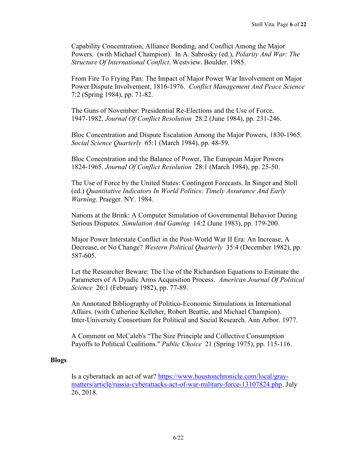Capability Concentration, Alliance Bonding, and Conflict Among the Major Powers. (with Michael Champion). In A. Sabrosky (ed.), *Polarity And War: The Structure Of International Conflict*. Westview. Boulder. 1985.

From Fire To Frying Pan: The Impact of Major Power War Involvement on Major Power Dispute Involvement, 1816-1976. *Conflict Management And Peace Science* 7:2 (Spring 1984), pp. 71-82.

The Guns of November: Presidential Re-Elections and the Use of Force, 1947-1982. *Journal Of Conflict Resolution* 28:2 (June 1984), pp. 231-246.

Bloc Concentration and Dispute Escalation Among the Major Powers, 1830-1965. *Social Science Quarterly* 65:1 (March 1984), pp. 48-59.

Bloc Concentration and the Balance of Power, The European Major Powers 1824-1965. *Journal Of Conflict Resolution* 28:1 (March 1984), pp. 25-50.

The Use of Force by the United States: Contingent Forecasts. In Singer and Stoll (ed.) *Quantitative Indicators In World Politics: Timely Assurance And Early Warning*. Praeger. NY. 1984.

Nations at the Brink: A Computer Simulation of Governmental Behavior During Serious Disputes. *Simulation And Gaming* 14:2 (June 1983), pp. 179-200.

Major Power Interstate Conflict in the Post-World War II Era: An Increase, A Decrease, or No Change? *Western Political Quarterly* 35:4 (December 1982), pp. 587-605.

Let the Researcher Beware: The Use of the Richardson Equations to Estimate the Parameters of A Dyadic Arms Acquisition Process. *American Journal Of Political Science* 26:1 (February 1982), pp. 77-89.

An Annotated Bibliography of Politico-Economic Simulations in International Affairs. (with Catherine Kelleher, Robert Beattie, and Michael Champion). Inter-University Consortium for Political and Social Research. Ann Arbor. 1977.

A Comment on McCaleb's "The Size Principle and Collective Consumption Payoffs to Political Coalitions." *Public Choice* 21 (Spring 1975), pp. 115-116.

## **Blogs**

Is a cyberattack an act of war? [https://www.houstonchronicle.com/local/gray](https://www.houstonchronicle.com/local/gray-matters/article/russia-cyberattacks-act-of-war-military-force-13107824.php)[matters/article/russia-cyberattacks-act-of-war-military-force-13107824.php.](https://www.houstonchronicle.com/local/gray-matters/article/russia-cyberattacks-act-of-war-military-force-13107824.php) July 26, 2018.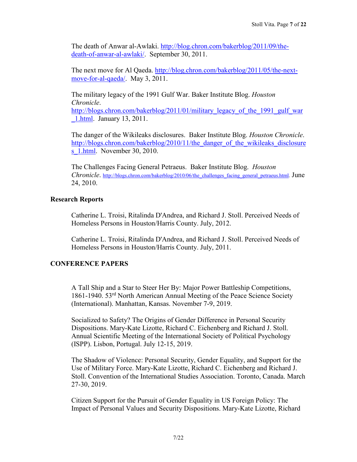The death of Anwar al-Awlaki. [http://blog.chron.com/bakerblog/2011/09/the](http://blog.chron.com/bakerblog/2011/09/the-death-of-anwar-al-awlaki/)[death-of-anwar-al-awlaki/.](http://blog.chron.com/bakerblog/2011/09/the-death-of-anwar-al-awlaki/) September 30, 2011.

The next move for Al Qaeda. [http://blog.chron.com/bakerblog/2011/05/the-next](http://blog.chron.com/bakerblog/2011/05/the-next-move-for-al-qaeda/)[move-for-al-qaeda/.](http://blog.chron.com/bakerblog/2011/05/the-next-move-for-al-qaeda/) May 3, 2011.

The military legacy of the 1991 Gulf War. Baker Institute Blog. *Houston Chronicle*.

[http://blogs.chron.com/bakerblog/2011/01/military\\_legacy\\_of\\_the\\_1991\\_gulf\\_war](http://blogs.chron.com/bakerblog/2011/01/military_legacy_of_the_1991_gulf_war_1.html) [\\_1.html.](http://blogs.chron.com/bakerblog/2011/01/military_legacy_of_the_1991_gulf_war_1.html) January 13, 2011.

The danger of the Wikileaks disclosures. Baker Institute Blog. *Houston Chronicle*. [http://blogs.chron.com/bakerblog/2010/11/the\\_danger\\_of\\_the\\_wikileaks\\_disclosure](http://blogs.chron.com/bakerblog/2010/11/the_danger_of_the_wikileaks_disclosures_1.html) s 1.html. November 30, 2010.

The Challenges Facing General Petraeus. Baker Institute Blog. *Houston Chronicle*. [http://blogs.chron.com/bakerblog/2010/06/the\\_challenges\\_facing\\_general\\_petraeus.html.](http://blogs.chron.com/bakerblog/2010/06/the_challenges_facing_general_petraeus.html) June 24, 2010.

# **Research Reports**

Catherine L. Troisi, Ritalinda D'Andrea, and Richard J. Stoll. Perceived Needs of Homeless Persons in Houston/Harris County. July, 2012.

Catherine L. Troisi, Ritalinda D'Andrea, and Richard J. Stoll. Perceived Needs of Homeless Persons in Houston/Harris County. July, 2011.

# **CONFERENCE PAPERS**

A Tall Ship and a Star to Steer Her By: Major Power Battleship Competitions, 1861-1940. 53rd North American Annual Meeting of the Peace Science Society (International). Manhattan, Kansas. November 7-9, 2019.

Socialized to Safety? The Origins of Gender Difference in Personal Security Dispositions. Mary-Kate Lizotte, Richard C. Eichenberg and Richard J. Stoll. Annual Scientific Meeting of the International Society of Political Psychology (ISPP). Lisbon, Portugal. July 12-15, 2019.

The Shadow of Violence: Personal Security, Gender Equality, and Support for the Use of Military Force. Mary-Kate Lizotte, Richard C. Eichenberg and Richard J. Stoll. Convention of the International Studies Association. Toronto, Canada. March 27-30, 2019.

Citizen Support for the Pursuit of Gender Equality in US Foreign Policy: The Impact of Personal Values and Security Dispositions. Mary-Kate Lizotte, Richard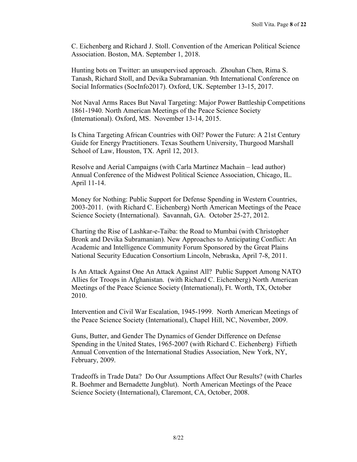C. Eichenberg and Richard J. Stoll. Convention of the American Political Science Association. Boston, MA. September 1, 2018.

Hunting bots on Twitter: an unsupervised approach. Zhouhan Chen, Rima S. Tanash, Richard Stoll, and Devika Subramanian. 9th International Conference on Social Informatics (SocInfo2017). Oxford, UK. September 13-15, 2017.

Not Naval Arms Races But Naval Targeting: Major Power Battleship Competitions 1861-1940. North American Meetings of the Peace Science Society (International). Oxford, MS. November 13-14, 2015.

Is China Targeting African Countries with Oil? Power the Future: A 21st Century Guide for Energy Practitioners. Texas Southern University, Thurgood Marshall School of Law, Houston, TX. April 12, 2013.

Resolve and Aerial Campaigns (with Carla Martinez Machain – lead author) Annual Conference of the Midwest Political Science Association, Chicago, IL. April 11-14.

Money for Nothing: Public Support for Defense Spending in Western Countries, 2003-2011. (with Richard C. Eichenberg) North American Meetings of the Peace Science Society (International). Savannah, GA. October 25-27, 2012.

Charting the Rise of Lashkar-e-Taiba: the Road to Mumbai (with Christopher Bronk and Devika Subramanian). New Approaches to Anticipating Conflict: An Academic and Intelligence Community Forum Sponsored by the Great Plains National Security Education Consortium Lincoln, Nebraska, April 7-8, 2011.

Is An Attack Against One An Attack Against All? Public Support Among NATO Allies for Troops in Afghanistan. (with Richard C. Eichenberg) North American Meetings of the Peace Science Society (International), Ft. Worth, TX, October 2010.

Intervention and Civil War Escalation, 1945-1999. North American Meetings of the Peace Science Society (International), Chapel Hill, NC, November, 2009.

Guns, Butter, and Gender The Dynamics of Gender Difference on Defense Spending in the United States, 1965-2007 (with Richard C. Eichenberg) Fiftieth Annual Convention of the International Studies Association, New York, NY, February, 2009.

Tradeoffs in Trade Data? Do Our Assumptions Affect Our Results? (with Charles R. Boehmer and Bernadette Jungblut). North American Meetings of the Peace Science Society (International), Claremont, CA, October, 2008.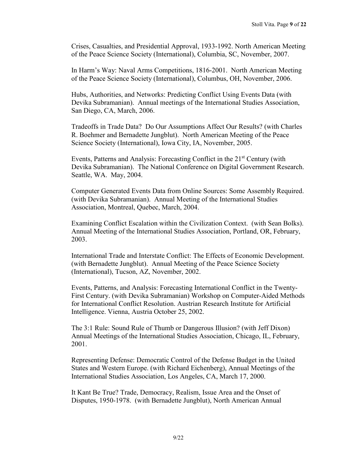Crises, Casualties, and Presidential Approval, 1933-1992. North American Meeting of the Peace Science Society (International), Columbia, SC, November, 2007.

In Harm's Way: Naval Arms Competitions, 1816-2001. North American Meeting of the Peace Science Society (International), Columbus, OH, November, 2006.

Hubs, Authorities, and Networks: Predicting Conflict Using Events Data (with Devika Subramanian). Annual meetings of the International Studies Association, San Diego, CA, March, 2006.

Tradeoffs in Trade Data? Do Our Assumptions Affect Our Results? (with Charles R. Boehmer and Bernadette Jungblut). North American Meeting of the Peace Science Society (International), Iowa City, IA, November, 2005.

Events, Patterns and Analysis: Forecasting Conflict in the 21<sup>st</sup> Century (with Devika Subramanian). The National Conference on Digital Government Research. Seattle, WA. May, 2004.

Computer Generated Events Data from Online Sources: Some Assembly Required. (with Devika Subramanian). Annual Meeting of the International Studies Association, Montreal, Quebec, March, 2004.

Examining Conflict Escalation within the Civilization Context. (with Sean Bolks). Annual Meeting of the International Studies Association, Portland, OR, February, 2003.

International Trade and Interstate Conflict: The Effects of Economic Development. (with Bernadette Jungblut). Annual Meeting of the Peace Science Society (International), Tucson, AZ, November, 2002.

Events, Patterns, and Analysis: Forecasting International Conflict in the Twenty-First Century. (with Devika Subramanian) Workshop on Computer-Aided Methods for International Conflict Resolution. Austrian Research Institute for Artificial Intelligence. Vienna, Austria October 25, 2002.

The 3:1 Rule: Sound Rule of Thumb or Dangerous Illusion? (with Jeff Dixon) Annual Meetings of the International Studies Association, Chicago, IL, February, 2001.

Representing Defense: Democratic Control of the Defense Budget in the United States and Western Europe. (with Richard Eichenberg), Annual Meetings of the International Studies Association, Los Angeles, CA, March 17, 2000.

It Kant Be True? Trade, Democracy, Realism, Issue Area and the Onset of Disputes, 1950-1978. (with Bernadette Jungblut), North American Annual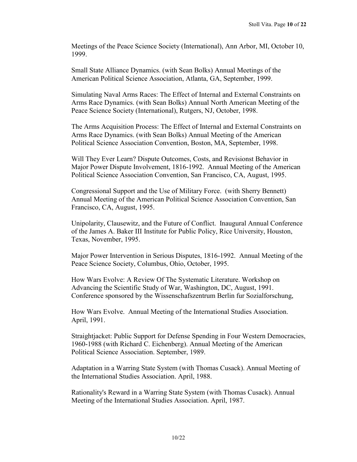Meetings of the Peace Science Society (International), Ann Arbor, MI, October 10, 1999.

Small State Alliance Dynamics. (with Sean Bolks) Annual Meetings of the American Political Science Association, Atlanta, GA, September, 1999.

Simulating Naval Arms Races: The Effect of Internal and External Constraints on Arms Race Dynamics. (with Sean Bolks) Annual North American Meeting of the Peace Science Society (International), Rutgers, NJ, October, 1998.

The Arms Acquisition Process: The Effect of Internal and External Constraints on Arms Race Dynamics. (with Sean Bolks) Annual Meeting of the American Political Science Association Convention, Boston, MA, September, 1998.

Will They Ever Learn? Dispute Outcomes, Costs, and Revisionst Behavior in Major Power Dispute Involvement, 1816-1992. Annual Meeting of the American Political Science Association Convention, San Francisco, CA, August, 1995.

Congressional Support and the Use of Military Force. (with Sherry Bennett) Annual Meeting of the American Political Science Association Convention, San Francisco, CA, August, 1995.

Unipolarity, Clausewitz, and the Future of Conflict. Inaugural Annual Conference of the James A. Baker III Institute for Public Policy, Rice University, Houston, Texas, November, 1995.

Major Power Intervention in Serious Disputes, 1816-1992. Annual Meeting of the Peace Science Society, Columbus, Ohio, October, 1995.

How Wars Evolve: A Review Of The Systematic Literature. Workshop on Advancing the Scientific Study of War, Washington, DC, August, 1991. Conference sponsored by the Wissenschafszentrum Berlin fur Sozialforschung,

How Wars Evolve. Annual Meeting of the International Studies Association. April, 1991.

Straightjacket: Public Support for Defense Spending in Four Western Democracies, 1960-1988 (with Richard C. Eichenberg). Annual Meeting of the American Political Science Association. September, 1989.

Adaptation in a Warring State System (with Thomas Cusack). Annual Meeting of the International Studies Association. April, 1988.

Rationality's Reward in a Warring State System (with Thomas Cusack). Annual Meeting of the International Studies Association. April, 1987.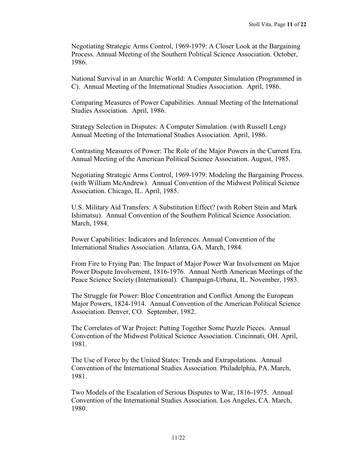Negotiating Strategic Arms Control, 1969-1979: A Closer Look at the Bargaining Process. Annual Meeting of the Southern Political Science Association. October, 1986.

National Survival in an Anarchic World: A Computer Simulation (Programmed in C). Annual Meeting of the International Studies Association. April, 1986.

Comparing Measures of Power Capabilities. Annual Meeting of the International Studies Association. April, 1986.

Strategy Selection in Disputes: A Computer Simulation. (with Russell Leng) Annual Meeting of the International Studies Association. April, 1986.

Contrasting Measures of Power: The Role of the Major Powers in the Current Era. Annual Meeting of the American Political Science Association. August, 1985.

Negotiating Strategic Arms Control, 1969-1979: Modeling the Bargaining Process. (with William McAndrew). Annual Convention of the Midwest Political Science Association. Chicago, IL. April, 1985.

U.S. Military Aid Transfers: A Substitution Effect? (with Robert Stein and Mark Ishimatsu). Annual Convention of the Southern Political Science Association. March, 1984.

Power Capabilities: Indicators and Inferences. Annual Convention of the International Studies Association. Atlanta, GA. March, 1984.

From Fire to Frying Pan: The Impact of Major Power War Involvement on Major Power Dispute Involvement, 1816-1976. Annual North American Meetings of the Peace Science Society (International). Champaign-Urbana, IL. November, 1983.

The Struggle for Power: Bloc Concentration and Conflict Among the European Major Powers, 1824-1914. Annual Convention of the American Political Science Association. Denver, CO. September, 1982.

The Correlates of War Project: Putting Together Some Puzzle Pieces. Annual Convention of the Midwest Political Science Association. Cincinnati, OH. April, 1981.

The Use of Force by the United States: Trends and Extrapolations. Annual Convention of the International Studies Association. Philadelphia, PA. March, 1981.

Two Models of the Escalation of Serious Disputes to War, 1816-1975. Annual Convention of the International Studies Association. Los Angeles, CA. March, 1980.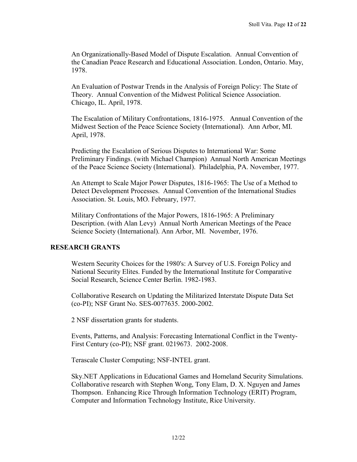An Organizationally-Based Model of Dispute Escalation. Annual Convention of the Canadian Peace Research and Educational Association. London, Ontario. May, 1978.

An Evaluation of Postwar Trends in the Analysis of Foreign Policy: The State of Theory. Annual Convention of the Midwest Political Science Association. Chicago, IL. April, 1978.

The Escalation of Military Confrontations, 1816-1975. Annual Convention of the Midwest Section of the Peace Science Society (International). Ann Arbor, MI. April, 1978.

Predicting the Escalation of Serious Disputes to International War: Some Preliminary Findings. (with Michael Champion) Annual North American Meetings of the Peace Science Society (International). Philadelphia, PA. November, 1977.

An Attempt to Scale Major Power Disputes, 1816-1965: The Use of a Method to Detect Development Processes. Annual Convention of the International Studies Association. St. Louis, MO. February, 1977.

Military Confrontations of the Major Powers, 1816-1965: A Preliminary Description. (with Alan Levy) Annual North American Meetings of the Peace Science Society (International). Ann Arbor, MI. November, 1976.

# **RESEARCH GRANTS**

Western Security Choices for the 1980's: A Survey of U.S. Foreign Policy and National Security Elites. Funded by the International Institute for Comparative Social Research, Science Center Berlin. 1982-1983.

Collaborative Research on Updating the Militarized Interstate Dispute Data Set (co-PI); NSF Grant No. SES-0077635. 2000-2002.

2 NSF dissertation grants for students.

Events, Patterns, and Analysis: Forecasting International Conflict in the Twenty-First Century (co-PI); NSF grant. 0219673. 2002-2008.

Terascale Cluster Computing; NSF-INTEL grant.

Sky.NET Applications in Educational Games and Homeland Security Simulations. Collaborative research with Stephen Wong, Tony Elam, D. X. Nguyen and James Thompson. Enhancing Rice Through Information Technology (ERIT) Program, Computer and Information Technology Institute, Rice University.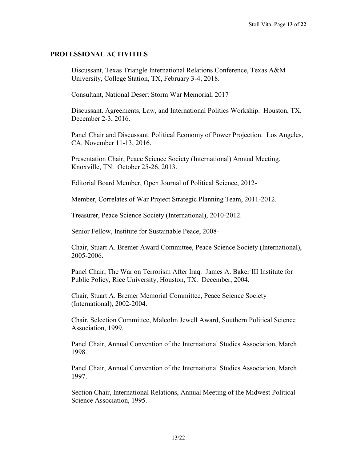## **PROFESSIONAL ACTIVITIES**

Discussant, Texas Triangle International Relations Conference, Texas A&M University, College Station, TX, February 3-4, 2018.

Consultant, National Desert Storm War Memorial, 2017

Discussant. Agreements, Law, and International Politics Workship. Houston, TX. December 2-3, 2016.

Panel Chair and Discussant. Political Economy of Power Projection. Los Angeles, CA. November 11-13, 2016.

Presentation Chair, Peace Science Society (International) Annual Meeting. Knoxville, TN. October 25-26, 2013.

Editorial Board Member, Open Journal of Political Science, 2012-

Member, Correlates of War Project Strategic Planning Team, 2011-2012.

Treasurer, Peace Science Society (International), 2010-2012.

Senior Fellow, Institute for Sustainable Peace, 2008-

Chair, Stuart A. Bremer Award Committee, Peace Science Society (International), 2005-2006.

Panel Chair, The War on Terrorism After Iraq. James A. Baker III Institute for Public Policy, Rice University, Houston, TX. December, 2004.

Chair, Stuart A. Bremer Memorial Committee, Peace Science Society (International), 2002-2004.

Chair, Selection Committee, Malcolm Jewell Award, Southern Political Science Association, 1999.

Panel Chair, Annual Convention of the International Studies Association, March 1998.

Panel Chair, Annual Convention of the International Studies Association, March 1997.

Section Chair, International Relations, Annual Meeting of the Midwest Political Science Association, 1995.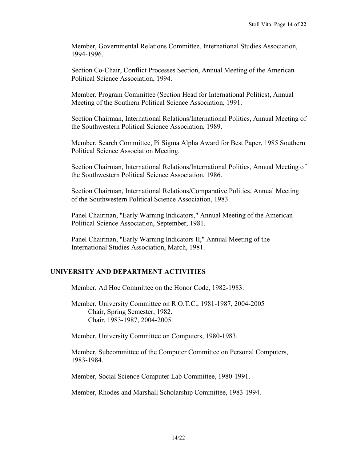Member, Governmental Relations Committee, International Studies Association, 1994-1996.

Section Co-Chair, Conflict Processes Section, Annual Meeting of the American Political Science Association, 1994.

Member, Program Committee (Section Head for International Politics), Annual Meeting of the Southern Political Science Association, 1991.

Section Chairman, International Relations/International Politics, Annual Meeting of the Southwestern Political Science Association, 1989.

Member, Search Committee, Pi Sigma Alpha Award for Best Paper, 1985 Southern Political Science Association Meeting.

Section Chairman, International Relations/International Politics, Annual Meeting of the Southwestern Political Science Association, 1986.

Section Chairman, International Relations/Comparative Politics, Annual Meeting of the Southwestern Political Science Association, 1983.

Panel Chairman, "Early Warning Indicators," Annual Meeting of the American Political Science Association, September, 1981.

Panel Chairman, "Early Warning Indicators II," Annual Meeting of the International Studies Association, March, 1981.

# **UNIVERSITY AND DEPARTMENT ACTIVITIES**

Member, Ad Hoc Committee on the Honor Code, 1982-1983.

Member, University Committee on R.O.T.C., 1981-1987, 2004-2005 Chair, Spring Semester, 1982. Chair, 1983-1987, 2004-2005.

Member, University Committee on Computers, 1980-1983.

Member, Subcommittee of the Computer Committee on Personal Computers, 1983-1984.

Member, Social Science Computer Lab Committee, 1980-1991.

Member, Rhodes and Marshall Scholarship Committee, 1983-1994.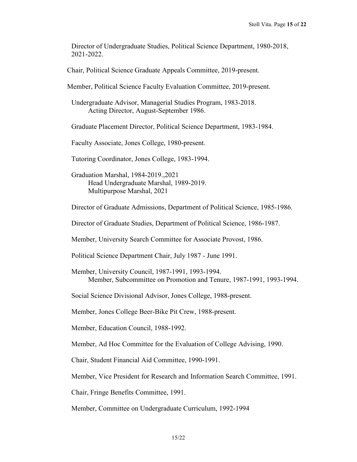Director of Undergraduate Studies, Political Science Department, 1980-2018, 2021-2022.

Chair, Political Science Graduate Appeals Committee, 2019-present.

Member, Political Science Faculty Evaluation Committee, 2019-present.

Undergraduate Advisor, Managerial Studies Program, 1983-2018. Acting Director, August-September 1986.

Graduate Placement Director, Political Science Department, 1983-1984.

Faculty Associate, Jones College, 1980-present.

Tutoring Coordinator, Jones College, 1983-1994.

Graduation Marshal, 1984-2019.,2021 Head Undergraduate Marshal, 1989-2019. Multipurpose Marshal, 2021

Director of Graduate Admissions, Department of Political Science, 1985-1986.

Director of Graduate Studies, Department of Political Science, 1986-1987.

Member, University Search Committee for Associate Provost, 1986.

Political Science Department Chair, July 1987 - June 1991.

Member, University Council, 1987-1991, 1993-1994. Member, Subcommittee on Promotion and Tenure, 1987-1991, 1993-1994.

Social Science Divisional Advisor, Jones College, 1988-present.

Member, Jones College Beer-Bike Pit Crew, 1988-present.

Member, Education Council, 1988-1992.

Member, Ad Hoc Committee for the Evaluation of College Advising, 1990.

Chair, Student Financial Aid Committee, 1990-1991.

Member, Vice President for Research and Information Search Committee, 1991.

Chair, Fringe Benefits Committee, 1991.

Member, Committee on Undergraduate Curriculum, 1992-1994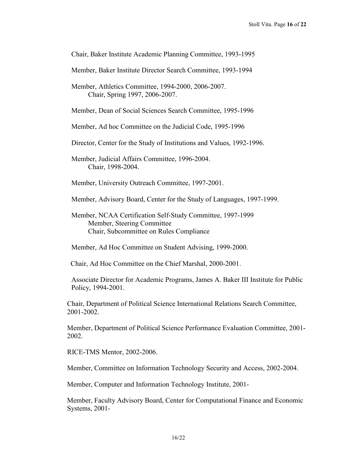Chair, Baker Institute Academic Planning Committee, 1993-1995

Member, Baker Institute Director Search Committee, 1993-1994

Member, Athletics Committee, 1994-2000, 2006-2007. Chair, Spring 1997, 2006-2007.

Member, Dean of Social Sciences Search Committee, 1995-1996

Member, Ad hoc Committee on the Judicial Code, 1995-1996

Director, Center for the Study of Institutions and Values, 1992-1996.

Member, Judicial Affairs Committee, 1996-2004. Chair, 1998-2004.

Member, University Outreach Committee, 1997-2001.

Member, Advisory Board, Center for the Study of Languages, 1997-1999.

Member, NCAA Certification Self-Study Committee, 1997-1999 **Member, Steering Committee** Chair, Subcommittee on Rules Compliance

Member, Ad Hoc Committee on Student Advising, 1999-2000.

Chair, Ad Hoc Committee on the Chief Marshal, 2000-2001.

Associate Director for Academic Programs, James A. Baker III Institute for Public Policy, 1994-2001.

Chair, Department of Political Science International Relations Search Committee, 2001-2002.

Member, Department of Political Science Performance Evaluation Committee, 2001- 2002.

RICE-TMS Mentor, 2002-2006.

Member, Committee on Information Technology Security and Access, 2002-2004.

Member, Computer and Information Technology Institute, 2001-

Member, Faculty Advisory Board, Center for Computational Finance and Economic Systems, 2001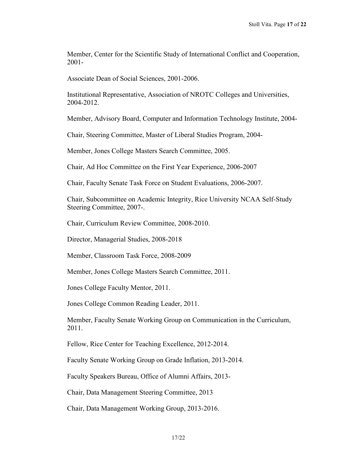Member, Center for the Scientific Study of International Conflict and Cooperation, 2001-

Associate Dean of Social Sciences, 2001-2006.

Institutional Representative, Association of NROTC Colleges and Universities, 2004-2012.

Member, Advisory Board, Computer and Information Technology Institute, 2004-

Chair, Steering Committee, Master of Liberal Studies Program, 2004-

Member, Jones College Masters Search Committee, 2005.

Chair, Ad Hoc Committee on the First Year Experience, 2006-2007

Chair, Faculty Senate Task Force on Student Evaluations, 2006-2007.

Chair, Subcommittee on Academic Integrity, Rice University NCAA Self-Study Steering Committee, 2007-.

Chair, Curriculum Review Committee, 2008-2010.

Director, Managerial Studies, 2008-2018

Member, Classroom Task Force, 2008-2009

Member, Jones College Masters Search Committee, 2011.

Jones College Faculty Mentor, 2011.

Jones College Common Reading Leader, 2011.

Member, Faculty Senate Working Group on Communication in the Curriculum, 2011.

Fellow, Rice Center for Teaching Excellence, 2012-2014.

Faculty Senate Working Group on Grade Inflation, 2013-2014.

Faculty Speakers Bureau, Office of Alumni Affairs, 2013-

Chair, Data Management Steering Committee, 2013

Chair, Data Management Working Group, 2013-2016.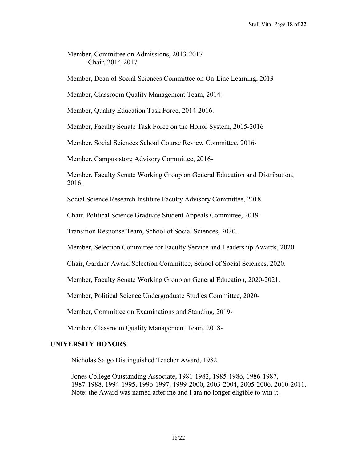Member, Committee on Admissions, 2013-2017 Chair, 2014-2017

Member, Dean of Social Sciences Committee on On-Line Learning, 2013-

Member, Classroom Quality Management Team, 2014-

Member, Quality Education Task Force, 2014-2016.

Member, Faculty Senate Task Force on the Honor System, 2015-2016

Member, Social Sciences School Course Review Committee, 2016-

Member, Campus store Advisory Committee, 2016-

Member, Faculty Senate Working Group on General Education and Distribution, 2016.

Social Science Research Institute Faculty Advisory Committee, 2018-

Chair, Political Science Graduate Student Appeals Committee, 2019-

Transition Response Team, School of Social Sciences, 2020.

Member, Selection Committee for Faculty Service and Leadership Awards, 2020.

Chair, Gardner Award Selection Committee, School of Social Sciences, 2020.

Member, Faculty Senate Working Group on General Education, 2020-2021.

Member, Political Science Undergraduate Studies Committee, 2020-

Member, Committee on Examinations and Standing, 2019-

Member, Classroom Quality Management Team, 2018-

# **UNIVERSITY HONORS**

Nicholas Salgo Distinguished Teacher Award, 1982.

Jones College Outstanding Associate, 1981-1982, 1985-1986, 1986-1987, 1987-1988, 1994-1995, 1996-1997, 1999-2000, 2003-2004, 2005-2006, 2010-2011. Note: the Award was named after me and I am no longer eligible to win it.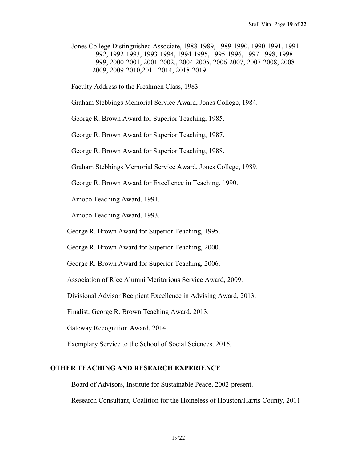Jones College Distinguished Associate, 1988-1989, 1989-1990, 1990-1991, 1991- 1992, 1992-1993, 1993-1994, 1994-1995, 1995-1996, 1997-1998, 1998- 1999, 2000-2001, 2001-2002., 2004-2005, 2006-2007, 2007-2008, 2008- 2009, 2009-2010,2011-2014, 2018-2019.

Faculty Address to the Freshmen Class, 1983.

Graham Stebbings Memorial Service Award, Jones College, 1984.

George R. Brown Award for Superior Teaching, 1985.

George R. Brown Award for Superior Teaching, 1987.

George R. Brown Award for Superior Teaching, 1988.

Graham Stebbings Memorial Service Award, Jones College, 1989.

George R. Brown Award for Excellence in Teaching, 1990.

Amoco Teaching Award, 1991.

Amoco Teaching Award, 1993.

George R. Brown Award for Superior Teaching, 1995.

George R. Brown Award for Superior Teaching, 2000.

George R. Brown Award for Superior Teaching, 2006.

Association of Rice Alumni Meritorious Service Award, 2009.

Divisional Advisor Recipient Excellence in Advising Award, 2013.

Finalist, George R. Brown Teaching Award. 2013.

Gateway Recognition Award, 2014.

Exemplary Service to the School of Social Sciences. 2016.

#### **OTHER TEACHING AND RESEARCH EXPERIENCE**

Board of Advisors, Institute for Sustainable Peace, 2002-present.

Research Consultant, Coalition for the Homeless of Houston/Harris County, 2011-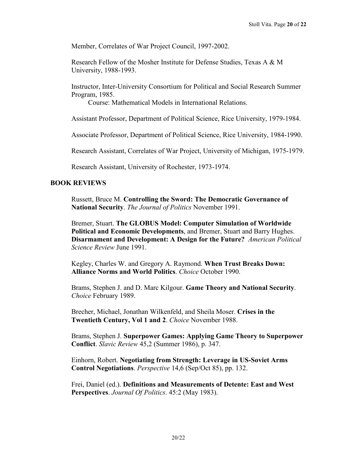Member, Correlates of War Project Council, 1997-2002.

Research Fellow of the Mosher Institute for Defense Studies, Texas A & M University, 1988-1993.

Instructor, Inter-University Consortium for Political and Social Research Summer Program, 1985.

Course: Mathematical Models in International Relations.

Assistant Professor, Department of Political Science, Rice University, 1979-1984.

Associate Professor, Department of Political Science, Rice University, 1984-1990.

Research Assistant, Correlates of War Project, University of Michigan, 1975-1979.

Research Assistant, University of Rochester, 1973-1974.

## **BOOK REVIEWS**

Russett, Bruce M. **Controlling the Sword: The Democratic Governance of National Security**. *The Journal of Politics* November 1991.

Bremer, Stuart. **The GLOBUS Model: Computer Simulation of Worldwide Political and Economic Developments**, and Bremer, Stuart and Barry Hughes. **Disarmament and Development: A Design for the Future?** *American Political Science Review* June 1991.

Kegley, Charles W. and Gregory A. Raymond. **When Trust Breaks Down: Alliance Norms and World Politics**. *Choice* October 1990.

Brams, Stephen J. and D. Marc Kilgour. **Game Theory and National Security**. *Choice* February 1989.

Brecher, Michael, Jonathan Wilkenfeld, and Sheila Moser. **Crises in the Twentieth Century, Vol 1 and 2**. *Choice* November 1988.

Brams, Stephen J. **Superpower Games: Applying Game Theory to Superpower Conflict**. *Slavic Review* 45,2 (Summer 1986), p. 347.

Einhorn, Robert. **Negotiating from Strength: Leverage in US-Soviet Arms Control Negotiations**. *Perspective* 14,6 (Sep/Oct 85), pp. 132.

Frei, Daniel (ed.). **Definitions and Measurements of Detente: East and West Perspectives**. *Journal Of Politics*. 45:2 (May 1983).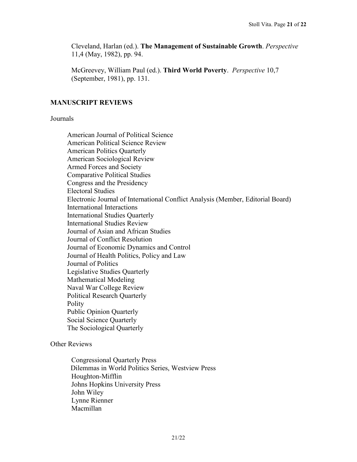Cleveland, Harlan (ed.). **The Management of Sustainable Growth**. *Perspective* 11,4 (May, 1982), pp. 94.

McGreevey, William Paul (ed.). **Third World Poverty**. *Perspective* 10,7 (September, 1981), pp. 131.

## **MANUSCRIPT REVIEWS**

## Journals

American Journal of Political Science American Political Science Review American Politics Quarterly American Sociological Review Armed Forces and Society Comparative Political Studies Congress and the Presidency Electoral Studies Electronic Journal of International Conflict Analysis (Member, Editorial Board) International Interactions International Studies Quarterly International Studies Review Journal of Asian and African Studies Journal of Conflict Resolution Journal of Economic Dynamics and Control Journal of Health Politics, Policy and Law Journal of Politics Legislative Studies Quarterly Mathematical Modeling Naval War College Review Political Research Quarterly Polity Public Opinion Quarterly Social Science Quarterly The Sociological Quarterly

## Other Reviews

Congressional Quarterly Press Dilemmas in World Politics Series, Westview Press Houghton-Mifflin Johns Hopkins University Press John Wiley Lynne Rienner Macmillan